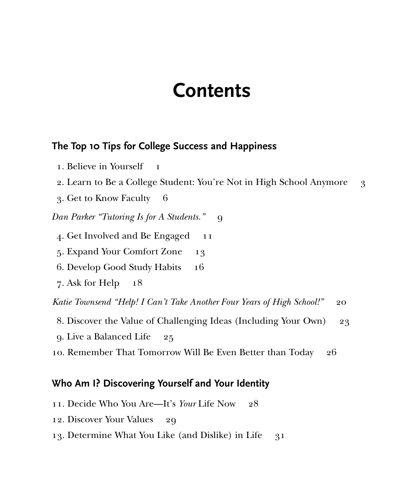# **Contents**

# **The Top 10 Tips for College Success and Happiness**

- 1. Believe in Yourself 1
- 2. Learn to Be a College Student: You're Not in High School Anymore 3
- 3. Get to Know Faculty 6

*Dan Parker "Tutoring Is for A Students."* 9

- 4. Get Involved and Be Engaged 11
- 5. Expand Your Comfort Zone 13
- 6. Develop Good Study Habits 16
- 7. Ask for Help  $18$

*Katie Townsend "Help! I Can't Take Another Four Years of High School!"* 20

- 8. Discover the Value of Challenging Ideas (Including Your Own) 23
- 9. Live a Balanced Life 25
- 10. Remember That Tomorrow Will Be Even Better than Today 26

# **Who Am I? Discovering Yourself and Your Identity**

- 11. Decide Who You Are—It's *Your* Life Now 28
- 12. Discover Your Values 29
- 13. Determine What You Like (and Dislike) in Life 31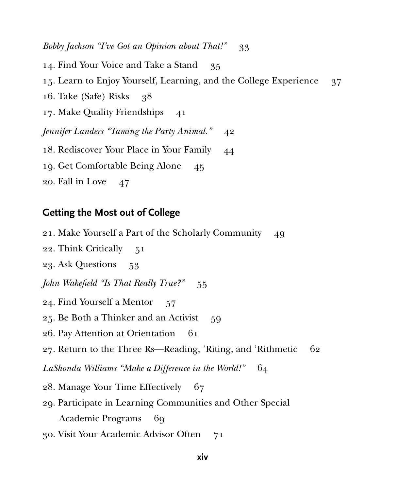*Bobby Jackson "I've Got an Opinion about That!"* 33

. Find Your Voice and Take a Stand 35 15. Learn to Enjoy Yourself, Learning, and the College Experience 37 . Take (Safe) Risks 38 . Make Quality Friendships 41 *Jennifer Landers "Taming the Party Animal."* 42 . Rediscover Your Place in Your Family 44 . Get Comfortable Being Alone 45

20. Fall in Love 47

# **Getting the Most out of College**

21. Make Yourself a Part of the Scholarly Community 49

22. Think Critically 51

23. Ask Questions 53

*John Wakefield "Is That Really True?"* 55

24. Find Yourself a Mentor 57

25. Be Both a Thinker and an Activist 59

26. Pay Attention at Orientation 61

27. Return to the Three Rs—Reading, 'Riting, and 'Rithmetic 62

LaShonda Williams "Make a Difference in the World!" 64

28. Manage Your Time Effectively 67

29. Participate in Learning Communities and Other Special Academic Programs 69

30. Visit Your Academic Advisor Often 71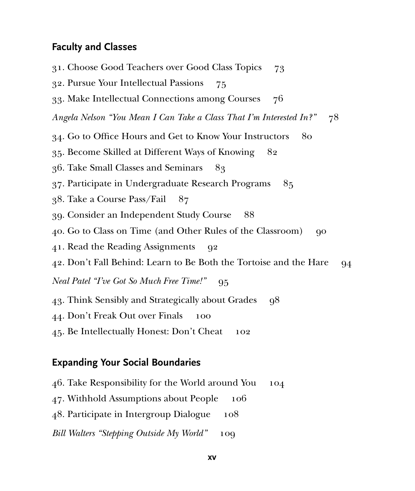# **Faculty and Classes**

31. Choose Good Teachers over Good Class Topics 73 32. Pursue Your Intellectual Passions 75 33. Make Intellectual Connections among Courses 76 *Angela Nelson "You Mean I Can Take a Class That I'm Interested In?"* 78 34. Go to Office Hours and Get to Know Your Instructors 80 35. Become Skilled at Different Ways of Knowing 82 36. Take Small Classes and Seminars 83 37. Participate in Undergraduate Research Programs 85 38. Take a Course Pass/Fail 87 39. Consider an Independent Study Course 88 40. Go to Class on Time (and Other Rules of the Classroom) 90 41. Read the Reading Assignments 92 42. Don't Fall Behind: Learn to Be Both the Tortoise and the Hare 94 *Neal Patel "I've Got So Much Free Time!"* 95 43. Think Sensibly and Strategically about Grades 98 44. Don't Freak Out over Finals 100 45. Be Intellectually Honest: Don't Cheat 102

#### **Expanding Your Social Boundaries**

- 46. Take Responsibility for the World around You 104
- 47. Withhold Assumptions about People 106
- 48. Participate in Intergroup Dialogue 108
- *Bill Walters "Stepping Outside My World"* 109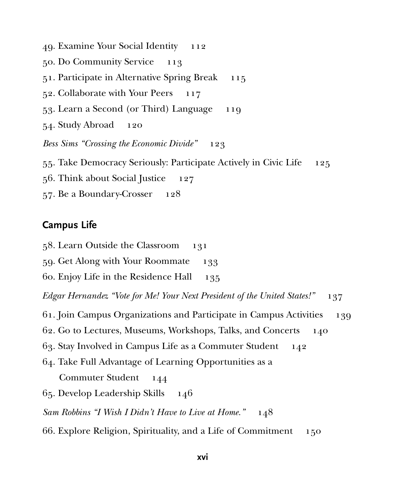. Examine Your Social Identity 112 . Do Community Service 113 . Participate in Alternative Spring Break 115 . Collaborate with Your Peers 117 . Learn a Second (or Third) Language 119 . Study Abroad 120 *Bess Sims "Crossing the Economic Divide"* 123 . Take Democracy Seriously: Participate Actively in Civic Life 125 . Think about Social Justice 127 . Be a Boundary-Crosser 128

### **Campus Life**

. Learn Outside the Classroom 131

. Get Along with Your Roommate 133

. Enjoy Life in the Residence Hall 135

*Edgar Hernandez "Vote for Me! Your Next President of the United States!"* 137

. Join Campus Organizations and Participate in Campus Activities 139

. Go to Lectures, Museums, Workshops, Talks, and Concerts 140

. Stay Involved in Campus Life as a Commuter Student 142

. Take Full Advantage of Learning Opportunities as a

Commuter Student 144

. Develop Leadership Skills 146

*Sam Robbins "I Wish I Didn't Have to Live at Home."* 148

. Explore Religion, Spirituality, and a Life of Commitment 150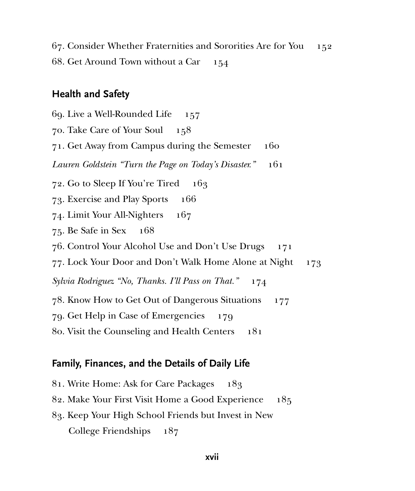. Consider Whether Fraternities and Sororities Are for You 152 . Get Around Town without a Car 154

# **Health and Safety**

. Live a Well-Rounded Life 157 . Take Care of Your Soul 158 . Get Away from Campus during the Semester 160 *Lauren Goldstein "Turn the Page on Today's Disaster."* 161 . Go to Sleep If You're Tired 163 . Exercise and Play Sports 166 . Limit Your All-Nighters 167 . Be Safe in Sex 168 . Control Your Alcohol Use and Don't Use Drugs 171 77. Lock Your Door and Don't Walk Home Alone at Night 173 *Sylvia Rodriguez "No, Thanks. I'll Pass on That."* 174 . Know How to Get Out of Dangerous Situations 177 . Get Help in Case of Emergencies 179 . Visit the Counseling and Health Centers 181

#### **Family, Finances, and the Details of Daily Life**

. Write Home: Ask for Care Packages 183 . Make Your First Visit Home a Good Experience 185 . Keep Your High School Friends but Invest in New College Friendships 187